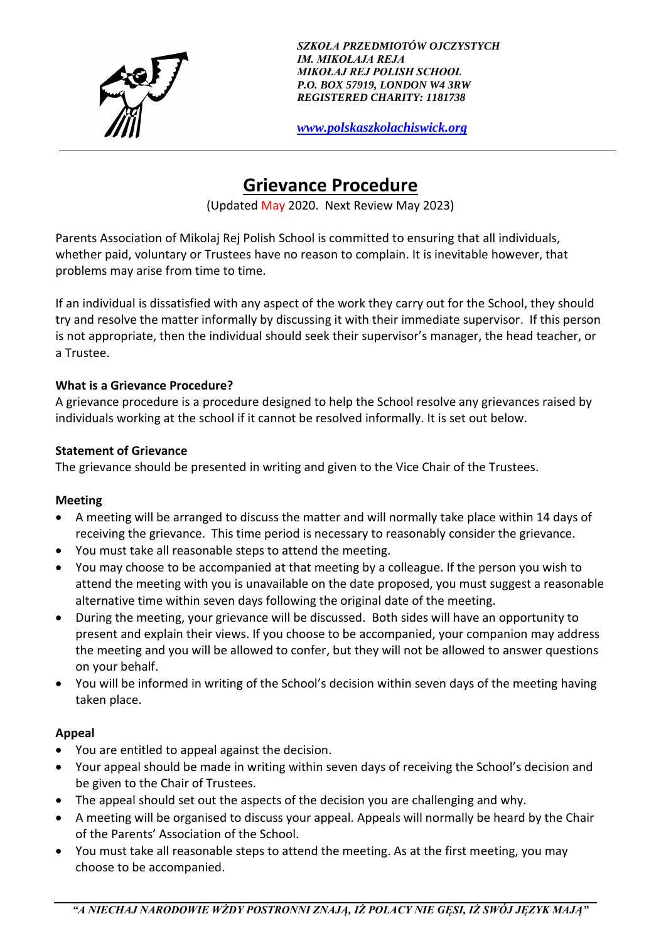

*SZKOŁA PRZEDMIOTÓW OJCZYSTYCH IM. MIKOŁAJA REJA MIKOŁAJ REJ POLISH SCHOOL P.O. BOX 57919, LONDON W4 3RW REGISTERED CHARITY: 1181738*

*[www.polskaszkolachiswick.org](http://www.polskaszkolachiswick.org/)*

# **Grievance Procedure**

(Updated May 2020. Next Review May 2023)

Parents Association of Mikolaj Rej Polish School is committed to ensuring that all individuals, whether paid, voluntary or Trustees have no reason to complain. It is inevitable however, that problems may arise from time to time.

If an individual is dissatisfied with any aspect of the work they carry out for the School, they should try and resolve the matter informally by discussing it with their immediate supervisor. If this person is not appropriate, then the individual should seek their supervisor's manager, the head teacher, or a Trustee.

#### **What is a Grievance Procedure?**

A grievance procedure is a procedure designed to help the School resolve any grievances raised by individuals working at the school if it cannot be resolved informally. It is set out below.

#### **Statement of Grievance**

The grievance should be presented in writing and given to the Vice Chair of the Trustees.

#### **Meeting**

- A meeting will be arranged to discuss the matter and will normally take place within 14 days of receiving the grievance. This time period is necessary to reasonably consider the grievance.
- You must take all reasonable steps to attend the meeting.
- You may choose to be accompanied at that meeting by a colleague. If the person you wish to attend the meeting with you is unavailable on the date proposed, you must suggest a reasonable alternative time within seven days following the original date of the meeting.
- During the meeting, your grievance will be discussed. Both sides will have an opportunity to present and explain their views. If you choose to be accompanied, your companion may address the meeting and you will be allowed to confer, but they will not be allowed to answer questions on your behalf.
- You will be informed in writing of the School's decision within seven days of the meeting having taken place.

#### **Appeal**

- You are entitled to appeal against the decision.
- Your appeal should be made in writing within seven days of receiving the School's decision and be given to the Chair of Trustees.
- The appeal should set out the aspects of the decision you are challenging and why.
- A meeting will be organised to discuss your appeal. Appeals will normally be heard by the Chair of the Parents' Association of the School.
- You must take all reasonable steps to attend the meeting. As at the first meeting, you may choose to be accompanied.